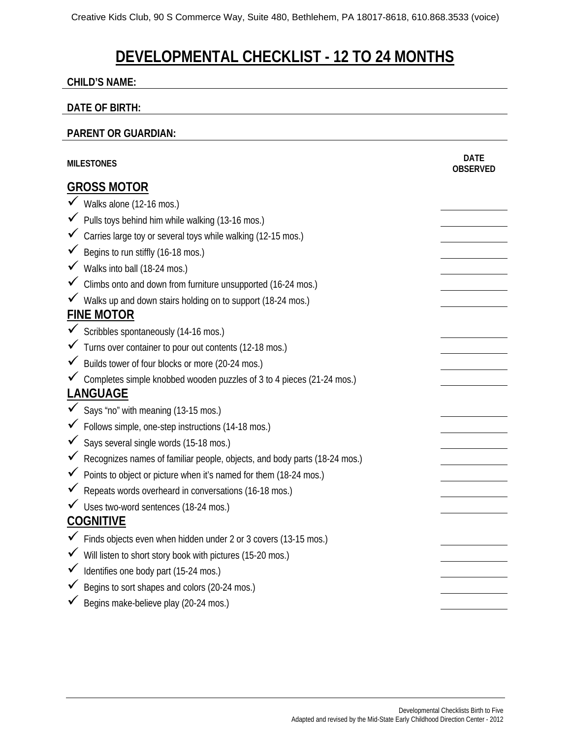# **DEVELOPMENTAL CHECKLIST - 12 TO 24 MONTHS**

#### **CHILD'S NAME:**

#### **DATE OF BIRTH:**

#### **PARENT OR GUARDIAN:**

| <b>MILESTONES</b>  |                                                                             | <b>DATE</b><br><b>OBSERVED</b> |  |
|--------------------|-----------------------------------------------------------------------------|--------------------------------|--|
| <b>GROSS MOTOR</b> |                                                                             |                                |  |
|                    | ◆ Walks alone (12-16 mos.)                                                  |                                |  |
|                    | $\checkmark$ Pulls toys behind him while walking (13-16 mos.)               |                                |  |
|                    | √ Carries large toy or several toys while walking (12-15 mos.)              |                                |  |
|                    | ◆ Begins to run stiffly (16-18 mos.)                                        |                                |  |
|                    | √ Walks into ball (18-24 mos.)                                              |                                |  |
|                    | ✓ Climbs onto and down from furniture unsupported (16-24 mos.)              |                                |  |
|                    | √ Walks up and down stairs holding on to support (18-24 mos.)               |                                |  |
|                    | <b>FINE MOTOR</b>                                                           |                                |  |
|                    | ✔ Scribbles spontaneously (14-16 mos.)                                      |                                |  |
|                    | √ Turns over container to pour out contents (12-18 mos.)                    |                                |  |
|                    | ◆ Builds tower of four blocks or more (20-24 mos.)                          |                                |  |
|                    | ✔ Completes simple knobbed wooden puzzles of 3 to 4 pieces (21-24 mos.)     |                                |  |
| <b>LANGUAGE</b>    |                                                                             |                                |  |
|                    | Says "no" with meaning (13-15 mos.)                                         |                                |  |
|                    | ✔ Follows simple, one-step instructions (14-18 mos.)                        |                                |  |
|                    | Says several single words (15-18 mos.)                                      |                                |  |
|                    | K Recognizes names of familiar people, objects, and body parts (18-24 mos.) |                                |  |
|                    | ◆ Points to object or picture when it's named for them (18-24 mos.)         |                                |  |
|                    | ◆ Repeats words overheard in conversations (16-18 mos.)                     |                                |  |
|                    | V Uses two-word sentences (18-24 mos.)                                      |                                |  |
|                    | <b>COGNITIVE</b>                                                            |                                |  |
|                    | √ Finds objects even when hidden under 2 or 3 covers (13-15 mos.)           |                                |  |
|                    | √ Will listen to short story book with pictures (15-20 mos.)                |                                |  |
|                    | √ Identifies one body part (15-24 mos.)                                     |                                |  |
|                    | $\checkmark$ Begins to sort shapes and colors (20-24 mos.)                  |                                |  |
|                    | Begins make-believe play (20-24 mos.)                                       |                                |  |